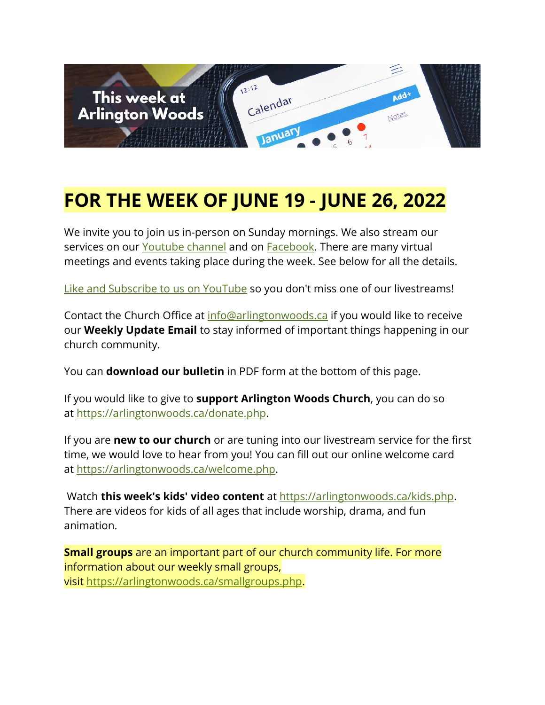

# **FOR THE WEEK OF JUNE 19 - JUNE 26, 2022**

We invite you to join us in-person on Sunday mornings. We also stream our services on our [Youtube channel](https://www.youtube.com/channel/UCN0jh5__-PL-Mpw_3v-4lMg) and on **Facebook**. There are many virtual meetings and events taking place during the week. See below for all the details.

[Like and Subscribe to us on YouTube](http://www.youtube.com/ArlingtonWoodsChurch) so you don't miss one of our livestreams!

Contact the Church Office at [info@arlingtonwoods.ca](mailto:info@arlingtonwoods.ca) if you would like to receive our **Weekly Update Email** to stay informed of important things happening in our church community.

You can **download our bulletin** in PDF form at the bottom of this page.

If you would like to give to **support Arlington Woods Church**, you can do so at [https://arlingtonwoods.ca/donate.php.](https://arlingtonwoods.ca/donate.php)

If you are **new to our church** or are tuning into our livestream service for the first time, we would love to hear from you! You can fill out our online welcome card at [https://arlingtonwoods.ca/welcome.php.](https://arlingtonwoods.ca/welcome.php)

Watch **this week's kids' video content** at [https://arlingtonwoods.ca/kids.php.](https://arlingtonwoods.ca/kids.php) There are videos for kids of all ages that include worship, drama, and fun animation.

**Small groups** are an important part of our church community life. For more information about our weekly small groups, visit [https://arlingtonwoods.ca/smallgroups.php.](https://arlingtonwoods.ca/smallgroups.php)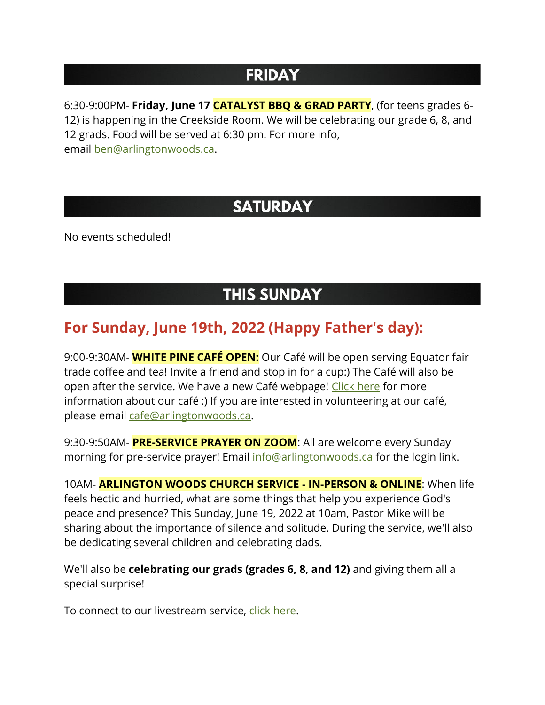## **FRIDAY**

6:30-9:00PM- **Friday, June 17 CATALYST BBQ & GRAD PARTY**, (for teens grades 6- 12) is happening in the Creekside Room. We will be celebrating our grade 6, 8, and 12 grads. Food will be served at 6:30 pm. For more info, email [ben@arlingtonwoods.ca.](mailto:ben@arlingtonwoods.ca)

### **SATURDAY**

No events scheduled!

### **THIS SUNDAY**

#### **For Sunday, June 19th, 2022 (Happy Father's day):**

9:00-9:30AM- **WHITE PINE CAFÉ OPEN:** Our Café will be open serving Equator fair trade coffee and tea! Invite a friend and stop in for a cup:) The Café will also be open after the service. We have a new Café webpage! [Click here](https://arlingtonwoods.ca/cafe.php) for more information about our café :) If you are interested in volunteering at our café, please email [cafe@arlingtonwoods.ca.](mailto:cafe@arlingtonwoods.ca)

9:30-9:50AM- **PRE-SERVICE PRAYER ON ZOOM**: All are welcome every Sunday morning for pre-service prayer! Email [info@arlingtonwoods.ca](mailto:info@arlingtonwoods.ca) for the login link.

10AM- **ARLINGTON WOODS CHURCH SERVICE - IN-PERSON & ONLINE**: When life feels hectic and hurried, what are some things that help you experience God's peace and presence? This Sunday, June 19, 2022 at 10am, Pastor Mike will be sharing about the importance of silence and solitude. During the service, we'll also be dedicating several children and celebrating dads.

We'll also be **celebrating our grads (grades 6, 8, and 12)** and giving them all a special surprise!

To connect to our livestream service, [click here.](https://www.youtube.com/channel/UCN0jh5__-PL-Mpw_3v-4lMg)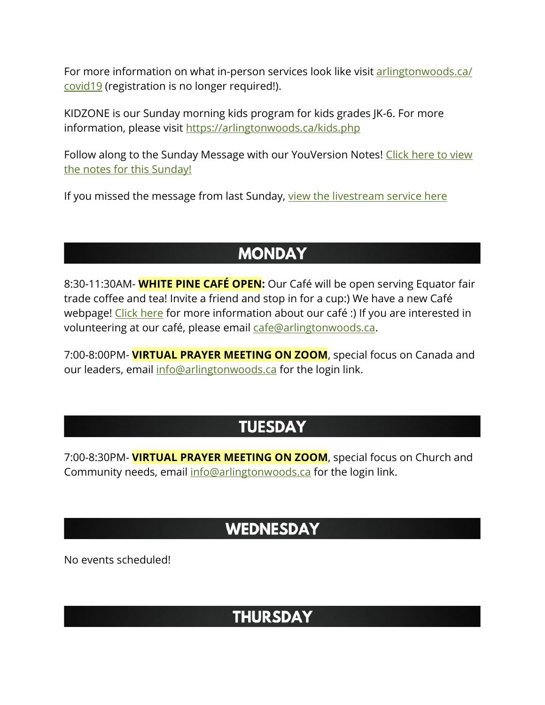For more information on what in-person services look like visit arlingtonwoods.ca/ [covid19](https://arlingtonwoods.ca/covid19.php) (registration is no longer required!).

KIDZONE is our Sunday morning kids program for kids grades JK-6. For more information, please visit <https://arlingtonwoods.ca/kids.php>

Follow along to the Sunday Message with our YouVersion Notes! Click here to view [the notes for this Sunday](http://bible.com/events/48905076)[!](http://bible.com/events/48904098)

If you missed the message from last Sunday, [view the livestream service here](https://www.youtube.com/watch?v=K9GdWHPq1go&ab_channel=ArlingtonWoodsChurch)

## **MONDAY**

8:30-11:30AM- **WHITE PINE CAFÉ OPEN:** Our Café will be open serving Equator fair trade coffee and tea! Invite a friend and stop in for a cup:) We have a new Café webpage! [Click here](https://arlingtonwoods.ca/cafe.php) for more information about our café :) If you are interested in volunteering at our café, please email [cafe@arlingtonwoods.ca.](mailto:cafe@arlingtonwoods.ca)

7:00-8:00PM- **VIRTUAL PRAYER MEETING ON ZOOM**, special focus on Canada and our leaders, email [info@arlingtonwoods.ca](mailto:info@arlingtonwoods.ca) for the login link.

# **TUESDAY**

7:00-8:30PM- **VIRTUAL PRAYER MEETING ON ZOOM**, special focus on Church and Community needs, email [info@arlingtonwoods.ca](mailto:info@arlingtonwoods.ca) for the login link.

#### **WEDNESDAY**

No events scheduled!

#### **THURSDAY**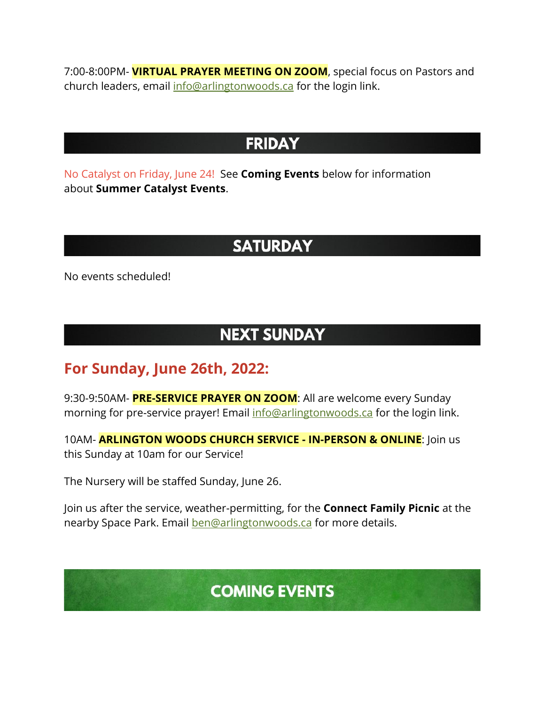7:00-8:00PM- **VIRTUAL PRAYER MEETING ON ZOOM**, special focus on Pastors and church leaders, email [info@arlingtonwoods.ca](mailto:info@arlingtonwoods.ca) for the login link.

#### **FRIDAY**

No Catalyst on Friday, June 24! See **Coming Events** below for information about **Summer Catalyst Events**.

### **SATURDAY**

No events scheduled!

### **NEXT SUNDAY**

#### **For Sunday, June 26th, 2022:**

9:30-9:50AM- **PRE-SERVICE PRAYER ON ZOOM**: All are welcome every Sunday morning for pre-service prayer! Email [info@arlingtonwoods.ca](mailto:info@arlingtonwoods.ca) for the login link.

10AM- **ARLINGTON WOODS CHURCH SERVICE - IN-PERSON & ONLINE**: Join us this Sunday at 10am for our Service!

The Nursery will be staffed Sunday, June 26.

Join us after the service, weather-permitting, for the **Connect Family Picnic** at the nearby Space Park. Email [ben@arlingtonwoods.ca](mailto:ben@arlingtonwoods.ca) for more details.

# **COMING EVENTS**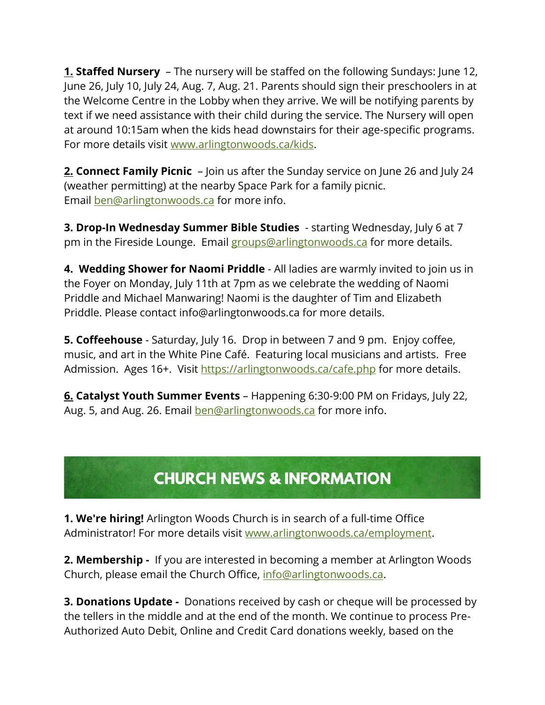**1. Staffed Nursery** – The nursery will be staffed on the following Sundays: June 12, June 26, July 10, July 24, Aug. 7, Aug. 21. Parents should sign their preschoolers in at the Welcome Centre in the Lobby when they arrive. We will be notifying parents by text if we need assistance with their child during the service. The Nursery will open at around 10:15am when the kids head downstairs for their age-specific programs. For more details visit [www.arlingtonwoods.ca/kids.](http://www.arlingtonwoods.ca/kids)

**2. Connect Family Picnic** – Join us after the Sunday service on June 26 and July 24 (weather permitting) at the nearby Space Park for a family picnic. Email [ben@arlingtonwoods.ca](mailto:ben@arlingtonwoods.ca) for more info.

**3. Drop-In Wednesday Summer Bible Studies** - starting Wednesday, July 6 at 7 pm in the Fireside Lounge. Email [groups@arlingtonwoods.ca](mailto:groups@arlingtonwoods.ca) for more details.

**4. Wedding Shower for Naomi Priddle** - All ladies are warmly invited to join us in the Foyer on Monday, July 11th at 7pm as we celebrate the wedding of Naomi Priddle and Michael Manwaring! Naomi is the daughter of Tim and Elizabeth Priddle. Please contact info@arlingtonwoods.ca for more details.

**5. Coffeehouse** - Saturday, July 16. Drop in between 7 and 9 pm. Enjoy coffee, music, and art in the White Pine Café. Featuring local musicians and artists. Free Admission. Ages 16+. Visit <https://arlingtonwoods.ca/cafe.php> for more details.

**6. Catalyst Youth Summer Events** – Happening 6:30-9:00 PM on Fridays, July 22, Aug. 5, and Aug. 26. Email **[ben@arlingtonwoods.ca](mailto:ben@arlingtonwoods.ca)** for more info.

# **CHURCH NEWS & INFORMATION**

**1. We're hiring!** Arlington Woods Church is in search of a full-time Office Administrator! For more details visit [www.arlingtonwoods.ca/employment.](http://www.arlingtonwoods.ca/employment?fbclid=IwAR13rOdWVp8ZXfwcV4tYnlHueuujxJ4vd7HYpZRM6FMJXVNJ8qapzjr-gjs)

**2. Membership -** If you are interested in becoming a member at Arlington Woods Church, please email the Church Office, [info@arlingtonwoods.ca.](mailto:info@arlingtonwoods.ca)

**3. Donations Update -** Donations received by cash or cheque will be processed by the tellers in the middle and at the end of the month. We continue to process Pre-Authorized Auto Debit, Online and Credit Card donations weekly, based on the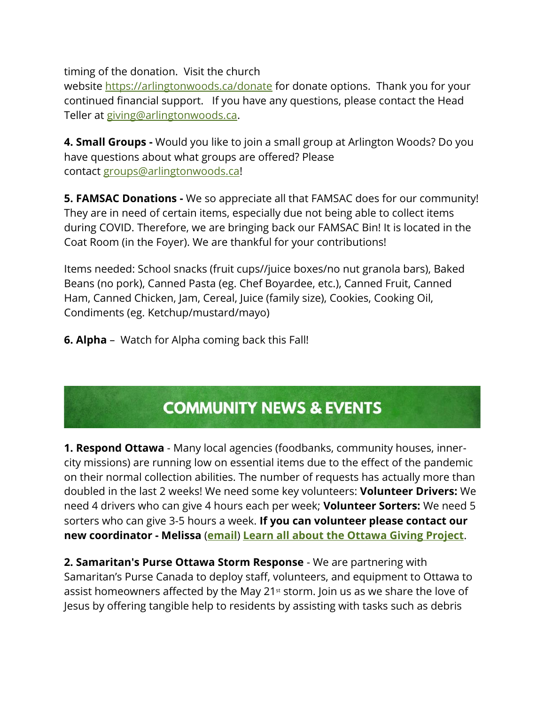timing of the donation. Visit the church

website <https://arlingtonwoods.ca/donate> for donate options. Thank you for your continued financial support. If you have any questions, please contact the Head Teller at [giving@arlingtonwoods.ca.](mailto:giving@arlingtonwoods.ca)

**4. Small Groups -** Would you like to join a small group at Arlington Woods? Do you have questions about what groups are offered? Please contact [groups@arlingtonwoods.ca!](mailto:groups@arlingtonwoods.ca)

**5. FAMSAC Donations -** We so appreciate all that FAMSAC does for our community! They are in need of certain items, especially due not being able to collect items during COVID. Therefore, we are bringing back our FAMSAC Bin! It is located in the Coat Room (in the Foyer). We are thankful for your contributions!

Items needed: School snacks (fruit cups//juice boxes/no nut granola bars), Baked Beans (no pork), Canned Pasta (eg. Chef Boyardee, etc.), Canned Fruit, Canned Ham, Canned Chicken, Jam, Cereal, Juice (family size), Cookies, Cooking Oil, Condiments (eg. Ketchup/mustard/mayo)

**6. Alpha** – Watch for Alpha coming back this Fall!

# **COMMUNITY NEWS & EVENTS**

**1. Respond Ottawa** - Many local agencies (foodbanks, community houses, innercity missions) are running low on essential items due to the effect of the pandemic on their normal collection abilities. The number of requests has actually more than doubled in the last 2 weeks! We need some key volunteers: **Volunteer Drivers:** We need 4 drivers who can give 4 hours each per week; **Volunteer Sorters:** We need 5 sorters who can give 3-5 hours a week. **If you can volunteer please contact our new coordinator - Melissa** (**[email](mailto:melissazoght@gmail.com)**) **[Learn all about the Ottawa Giving Project](https://r20.rs6.net/tn.jsp?f=0010SxYLMhvqZa0wJCMecEVnf4PCouArLTPe4Ei9PdzzRO8ZYMqDPydcZpOzN5G64SF0wXB_W1glnJMqj6hyFM8DHwDWG1xsZoa-wTIZHPxtxJcl-aLWqrkJ399gpnSySJ6CZUCpWI6BVq9bFJOOk_UGuauUq5sqFXvRs5Azaqrfzc=&c=G3W-ZVF5dmt1yAPG8l9ENJms2pyRpHu-BY-PGHbm0dHMJKM8WfvWtw==&ch=tkDhqlVB2OCc4AI2LX202H-VbUBS_U5knQZEE2ICviFJdcPQikuBfw==)**.

**2. Samaritan's Purse Ottawa Storm Response** - We are partnering with Samaritan's Purse Canada to deploy staff, volunteers, and equipment to Ottawa to assist homeowners affected by the May 21<sup>st</sup> storm. Join us as we share the love of Jesus by offering tangible help to residents by assisting with tasks such as debris